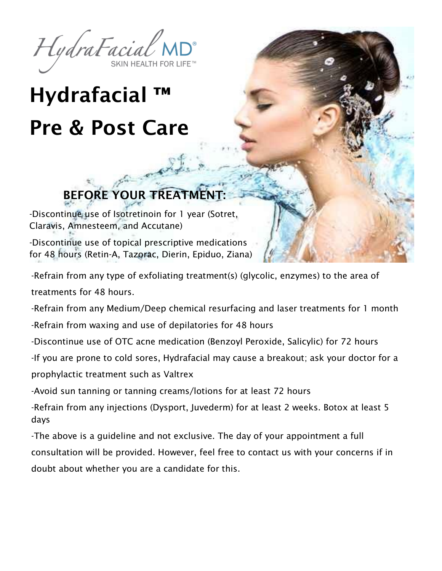

## **Hydrafacial ™ Pre & Post Care**

## **BEFORE YOUR TREATMENT:**

-Discontinue use of Isotretinoin for 1 year (Sotret, Claravis, Amnesteem, and Accutane) -Discontinue use of topical prescriptive medications for 48 hours (Retin-A, Tazorac, Dierin, Epiduo, Ziana)

-Refrain from any type of exfoliating treatment(s) (glycolic, enzymes) to the area of treatments for 48 hours.

-Refrain from any Medium/Deep chemical resurfacing and laser treatments for 1 month -Refrain from waxing and use of depilatories for 48 hours

-Discontinue use of OTC acne medication (Benzoyl Peroxide, Salicylic) for 72 hours

-If you are prone to cold sores, Hydrafacial may cause a breakout; ask your doctor for a prophylactic treatment such as Valtrex

-Avoid sun tanning or tanning creams/lotions for at least 72 hours

-Refrain from any injections (Dysport, Juvederm) for at least 2 weeks. Botox at least 5 days

-The above is a guideline and not exclusive. The day of your appointment a full consultation will be provided. However, feel free to contact us with your concerns if in doubt about whether you are a candidate for this.